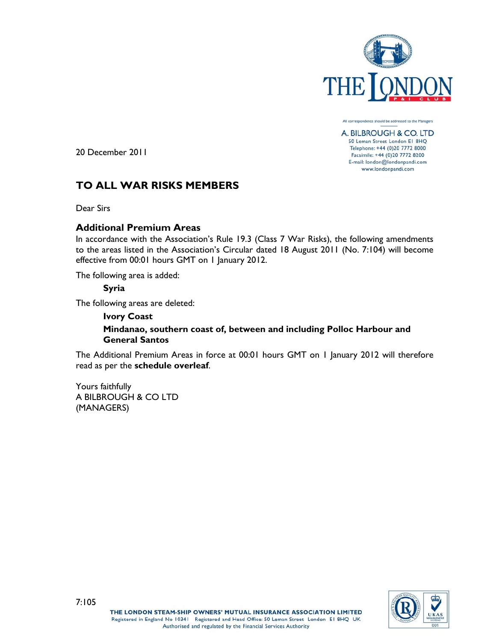

All correspondence should be addressed to the Managers

A. BILBROUGH & CO. LTD 50 Leman Street London E1 8HQ Telephone: +44 (0)20 7772 8000 Facsimile: +44 (0)20 7772 8200 E-mail: london@londonpandi.com www.londonpandi.com

20 December 2011

## **TO ALL WAR RISKS MEMBERS**

Dear Sirs

## **Additional Premium Areas**

In accordance with the Association's Rule 19.3 (Class 7 War Risks), the following amendments to the areas listed in the Association's Circular dated 18 August 2011 (No. 7:104) will become effective from 00:01 hours GMT on 1 January 2012.

The following area is added:

## **Syria**

The following areas are deleted:

### **Ivory Coast**

## **Mindanao, southern coast of, between and including Polloc Harbour and General Santos**

The Additional Premium Areas in force at 00:01 hours GMT on 1 January 2012 will therefore read as per the **schedule overleaf**.

Yours faithfully A BILBROUGH & CO LTD (MANAGERS)